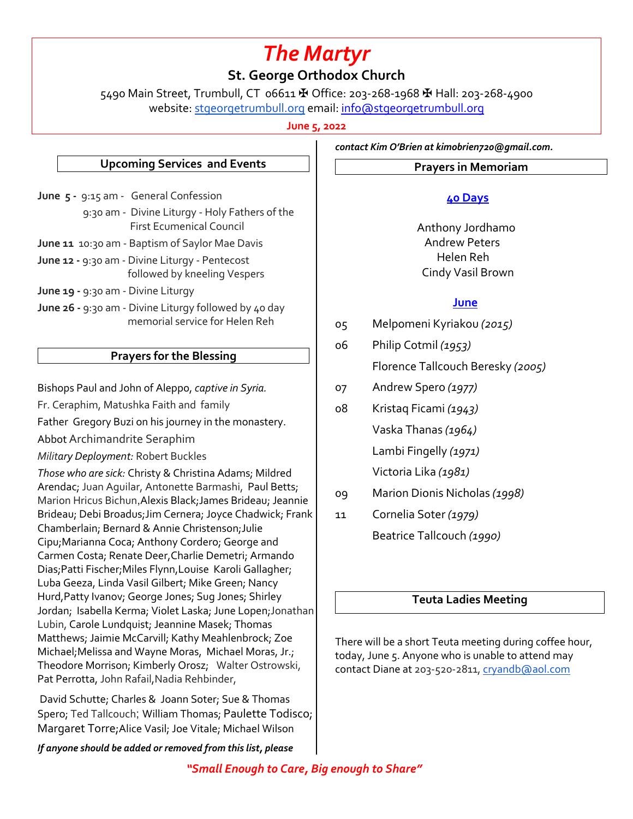# *The Martyr*

# **St. George Orthodox Church**

5490 Main Street, Trumbull, CT 06611 ✠ Office: 203-268-1968 ✠ Hall: 203-268-4900 website: stgeorgetrumbull.org email: info@stgeorgetrumbull.org

**June 5, 2022**

#### **Upcoming Services and Events**

- **June 5 9:15 am General Confession**  9:30 am - Divine Liturgy - Holy Fathers of the First Ecumenical Council **June 11** 10:30 am - Baptism of Saylor Mae Davis
- **June 12 -** 9:30 am Divine Liturgy Pentecost followed by kneeling Vespers
- **June 19 -** 9:30 am Divine Liturgy
- **June 26 -** 9:30 am Divine Liturgy followed by 40 day memorial service for Helen Reh

## **Prayers for the Blessing**

Bishops Paul and John of Aleppo, *captive in Syria.*

Fr. Ceraphim, Matushka Faith and family

Father Gregory Buzi on his journey in the monastery.

- Abbot Archimandrite Seraphim
- *Military Deployment:* Robert Buckles

*Those who are sick:* Christy & Christina Adams; Mildred Arendac; Juan Aguilar, Antonette Barmashi, Paul Betts; Marion Hricus Bichun,Alexis Black;James Brideau; Jeannie Brideau; Debi Broadus;Jim Cernera; Joyce Chadwick; Frank Chamberlain; Bernard & Annie Christenson;Julie Cipu;Marianna Coca; Anthony Cordero; George and Carmen Costa; Renate Deer,Charlie Demetri; Armando Dias;Patti Fischer;Miles Flynn,Louise Karoli Gallagher; Luba Geeza, Linda Vasil Gilbert; Mike Green; Nancy Hurd,Patty Ivanov; George Jones; Sug Jones; Shirley Jordan; Isabella Kerma; Violet Laska; June Lopen;Jonathan Lubin, Carole Lundquist; Jeannine Masek; Thomas Matthews; Jaimie McCarvill; Kathy Meahlenbrock; Zoe Michael;Melissa and Wayne Moras, Michael Moras, Jr.; Theodore Morrison; Kimberly Orosz; Walter Ostrowski, Pat Perrotta, John Rafail,Nadia Rehbinder,

David Schutte; Charles & Joann Soter; Sue & Thomas Spero; Ted Tallcouch; William Thomas; Paulette Todisco; Margaret Torre;Alice Vasil; Joe Vitale; Michael Wilson

*If anyone should be added or removed from this list, please* 

*contact Kim O'Brien at kimobrien720@gmail.com.*

#### **Prayers in Memoriam**

### **40 Days**

 Anthony Jordhamo Andrew Peters Helen Reh Cindy Vasil Brown

#### **June**

- 05 Melpomeni Kyriakou *(2015)*
- 06 Philip Cotmil *(1953)* Florence Tallcouch Beresky *(2005)*
- 07 Andrew Spero *(1977)*
- 08 Kristaq Ficami *(1943)* Vaska Thanas *(1964)* Lambi Fingelly *(1971)* Victoria Lika *(1981)*
- 09 Marion Dionis Nicholas *(1998)*
- 11 Cornelia Soter *(1979)* Beatrice Tallcouch *(1990)*

#### **Teuta Ladies Meeting**

There will be a short Teuta meeting during coffee hour, today, June 5. Anyone who is unable to attend may contact Diane at 203-520-2811, cryandb@aol.com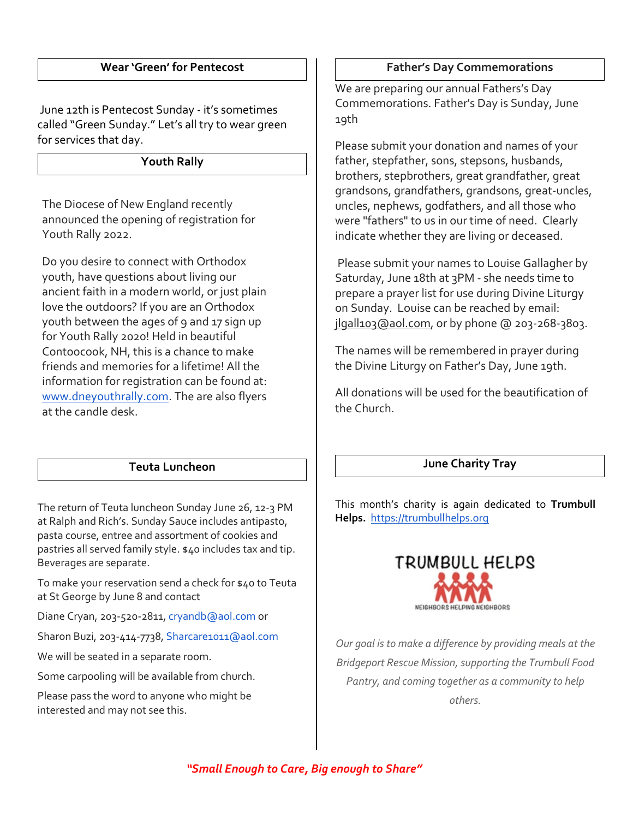#### **Wear 'Green' for Pentecost**

June 12th is Pentecost Sunday - it's sometimes called "Green Sunday." Let's all try to wear green for services that day.

**Youth Rally**

The Diocese of New England recently announced the opening of registration for Youth Rally 2022.

Do you desire to connect with Orthodox youth, have questions about living our ancient faith in a modern world, or just plain love the outdoors? If you are an Orthodox youth between the ages of 9 and 17 sign up for Youth Rally 2020! Held in beautiful Contoocook, NH, this is a chance to make friends and memories for a lifetime! All the information for registration can be found at: www.dneyouthrally.com. The are also flyers at the candle desk.

#### **Teuta Luncheon**

The return of Teuta luncheon Sunday June 26, 12-3 PM at Ralph and Rich's. Sunday Sauce includes antipasto, pasta course, entree and assortment of cookies and pastries all served family style. \$40 includes tax and tip. Beverages are separate.

To make your reservation send a check for \$40 to Teuta at St George by June 8 and contact

Diane Cryan, 203-520-2811, cryandb@aol.com or

Sharon Buzi, 203-414-7738, Sharcare1011@aol.com

We will be seated in a separate room.

Some carpooling will be available from church.

Please pass the word to anyone who might be interested and may not see this.

#### **Father's Day Commemorations**

We are preparing our annual Fathers's Day Commemorations. Father's Day is Sunday, June 19th

Please submit your donation and names of your father, stepfather, sons, stepsons, husbands, brothers, stepbrothers, great grandfather, great grandsons, grandfathers, grandsons, great-uncles, uncles, nephews, godfathers, and all those who were "fathers" to us in our time of need. Clearly indicate whether they are living or deceased.

Please submit your names to Louise Gallagher by Saturday, June 18th at 3PM - she needs time to prepare a prayer list for use during Divine Liturgy on Sunday. Louise can be reached by email: jlgall103@aol.com, or by phone @ 203-268-3803.

The names will be remembered in prayer during the Divine Liturgy on Father's Day, June 19th.

All donations will be used for the beautification of the Church.

#### **June Charity Tray**

This month's charity is again dedicated to **Trumbull Helps.** https://trumbullhelps.org



*Our goal is to make a difference by providing meals at the Bridgeport Rescue Mission, supporting the Trumbull Food Pantry, and coming together as a community to help others.*